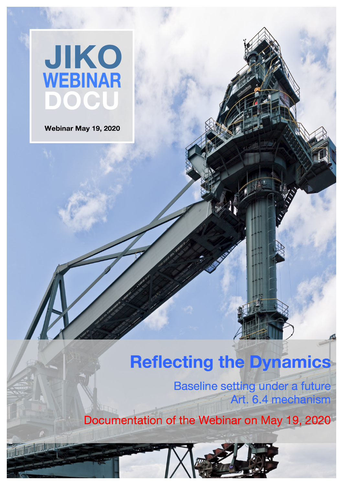

Webinar May 19, 2020

#### **Reflecting the Dynamics**

Baseline setting under a future Art. 6.4 mechanism

Documentation of the Webinar on May 19, 2020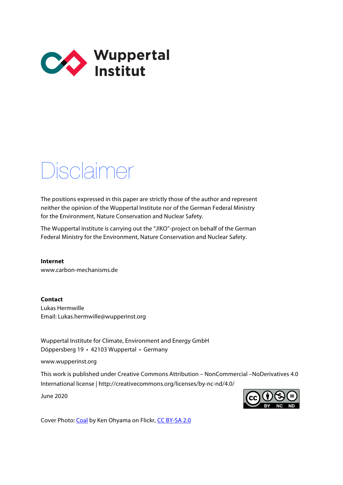

#### Disclaimer

The positions expressed in this paper are strictly those of the author and represent neither the opinion of the Wuppertal Institute nor of the German Federal Ministry for the Environment, Nature Conservation and Nuclear Safety.

The Wuppertal Institute is carrying out the "JIKO"-project on behalf of the German Federal Ministry for the Environment, Nature Conservation and Nuclear Safety.

**Internet** www.carbon-mechanisms.de

**Contact**  Lukas Hermwille Email: Lukas.hermwille@wupperinst.org

Wuppertal Institute for Climate, Environment and Energy GmbH Döppersberg 19 • 42103 Wuppertal • Germany

www.wupperinst.org

This work is published under Creative Commons Attribution – NonCommercial –NoDerivatives 4.0 International license | http://creativecommons.org/licenses/by-nc-nd/4.0/

June 2020



Cover Phot[o: Coal b](http://www.flickr.com/photos/20013727@N02/5832221847/)y Ken Ohyama on Flickr[, CC BY-SA 2.0](https://creativecommons.org/licenses/by-sa/2.0/)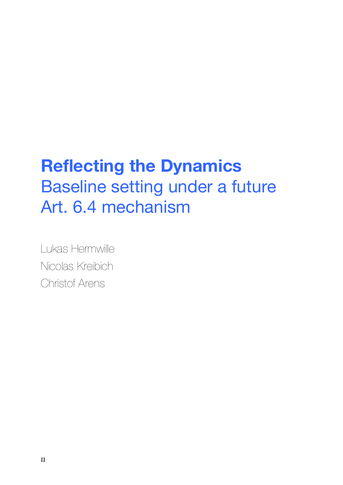#### **Reflecting the Dynamics**  Baseline setting under a future Art. 6.4 mechanism

Lukas Hermwille Nicolas Kreibich Christof Arens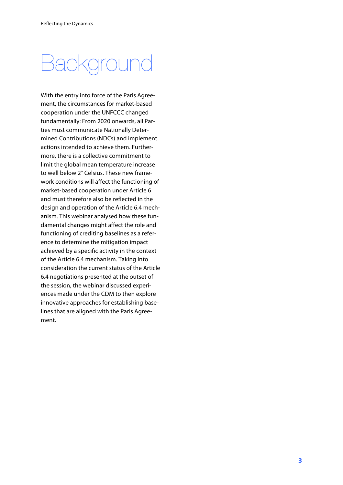### Background

With the entry into force of the Paris Agreement, the circumstances for market-based cooperation under the UNFCCC changed fundamentally: From 2020 onwards, all Parties must communicate Nationally Determined Contributions (NDCs) and implement actions intended to achieve them. Furthermore, there is a collective commitment to limit the global mean temperature increase to well below 2° Celsius. These new framework conditions will affect the functioning of market-based cooperation under Article 6 and must therefore also be reflected in the design and operation of the Article 6.4 mechanism. This webinar analysed how these fundamental changes might affect the role and functioning of crediting baselines as a reference to determine the mitigation impact achieved by a specific activity in the context of the Article 6.4 mechanism. Taking into consideration the current status of the Article 6.4 negotiations presented at the outset of the session, the webinar discussed experiences made under the CDM to then explore innovative approaches for establishing baselines that are aligned with the Paris Agreement.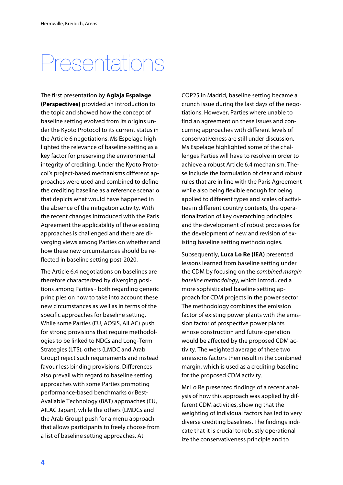## Presentations

The first presentation by **Aglaja Espalage (Perspectives)** provided an introduction to the topic and showed how the concept of baseline setting evolved from its origins under the Kyoto Protocol to its current status in the Article 6 negotiations. Ms Espelage highlighted the relevance of baseline setting as a key factor for preserving the environmental integrity of crediting. Under the Kyoto Protocol's project-based mechanisms different approaches were used and combined to define the crediting baseline as a reference scenario that depicts what would have happened in the absence of the mitigation activity. With the recent changes introduced with the Paris Agreement the applicability of these existing approaches is challenged and there are diverging views among Parties on whether and how these new circumstances should be reflected in baseline setting post-2020.

The Article 6.4 negotiations on baselines are therefore characterized by diverging positions among Parties - both regarding generic principles on how to take into account these new circumstances as well as in terms of the specific approaches for baseline setting. While some Parties (EU, AOSIS, AILAC) push for strong provisions that require methodologies to be linked to NDCs and Long-Term Strategies (LTS), others (LMDC and Arab Group) reject such requirements and instead favour less binding provisions. Differences also prevail with regard to baseline setting approaches with some Parties promoting performance-based benchmarks or Best-Available Technology (BAT) approaches (EU, AILAC Japan), while the others (LMDCs and the Arab Group) push for a menu approach that allows participants to freely choose from a list of baseline setting approaches. At

COP25 in Madrid, baseline setting became a crunch issue during the last days of the negotiations. However, Parties where unable to find an agreement on these issues and concurring approaches with different levels of conservativeness are still under discussion. Ms Espelage highlighted some of the challenges Parties will have to resolve in order to achieve a robust Article 6.4 mechanism. These include the formulation of clear and robust rules that are in line with the Paris Agreement while also being flexible enough for being applied to different types and scales of activities in different country contexts, the operationalization of key overarching principles and the development of robust processes for the development of new and revision of existing baseline setting methodologies.

Subsequently, **Luca Lo Re (IEA)** presented lessons learned from baseline setting under the CDM by focusing on the combined margin baseline methodology, which introduced a more sophisticated baseline setting approach for CDM projects in the power sector. The methodology combines the emission factor of existing power plants with the emission factor of prospective power plants whose construction and future operation would be affected by the proposed CDM activity. The weighted average of these two emissions factors then result in the combined margin, which is used as a crediting baseline for the proposed CDM activity.

Mr Lo Re presented findings of a recent analysis of how this approach was applied by different CDM activities, showing that the weighting of individual factors has led to very diverse crediting baselines. The findings indicate that it is crucial to robustly operationalize the conservativeness principle and to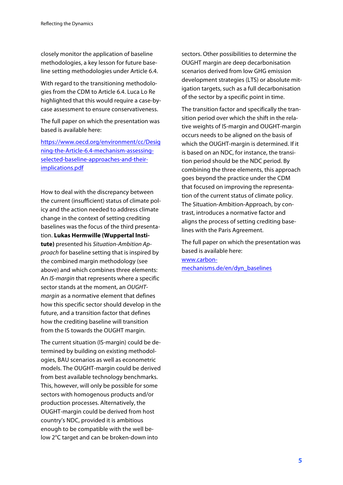closely monitor the application of baseline methodologies, a key lesson for future baseline setting methodologies under Article 6.4.

With regard to the transitioning methodologies from the CDM to Article 6.4. Luca Lo Re highlighted that this would require a case-bycase assessment to ensure conservativeness.

The full paper on which the presentation was based is available here:

[https://www.oecd.org/environment/cc/Desig](https://www.oecd.org/environment/cc/Designing-the-Article-6.4-mechanism-assessing-selected-baseline-approaches-and-their-implications.pdf) ning-the-Article-6.4-mechanism-assessingselected-baseline-approaches-and-theirimplications.pdf

How to deal with the discrepancy between the current (insufficient) status of climate policy and the action needed to address climate change in the context of setting crediting baselines was the focus of the third presentation. **Lukas Hermwille (Wuppertal Institute)** presented his Situation-Ambition Approach for baseline setting that is inspired by the combined margin methodology (see above) and which combines three elements: An IS-margin that represents where a specific sector stands at the moment, an OUGHTmargin as a normative element that defines how this specific sector should develop in the future, and a transition factor that defines how the crediting baseline will transition from the IS towards the OUGHT margin.

The current situation (IS-margin) could be determined by building on existing methodologies, BAU scenarios as well as econometric models. The OUGHT-margin could be derived from best available technology benchmarks. This, however, will only be possible for some sectors with homogenous products and/or production processes. Alternatively, the OUGHT-margin could be derived from host country's NDC, provided it is ambitious enough to be compatible with the well below 2°C target and can be broken-down into

sectors. Other possibilities to determine the OUGHT margin are deep decarbonisation scenarios derived from low GHG emission development strategies (LTS) or absolute mitigation targets, such as a full decarbonisation of the sector by a specific point in time.

The transition factor and specifically the transition period over which the shift in the relative weights of IS-margin and OUGHT-margin occurs needs to be aligned on the basis of which the OUGHT-margin is determined. If it is based on an NDC, for instance, the transition period should be the NDC period. By combining the three elements, this approach goes beyond the practice under the CDM that focused on improving the representation of the current status of climate policy. The Situation-Ambition-Approach, by contrast, introduces a normative factor and aligns the process of setting crediting baselines with the Paris Agreement.

The full paper on which the presentation was based is available here: www.carbon[mechanisms.de/en/dyn\\_baselines](https://www.carbon-mechanisms.de/en/2020/a-new-approach-for-dynamic-crediting-baselines/)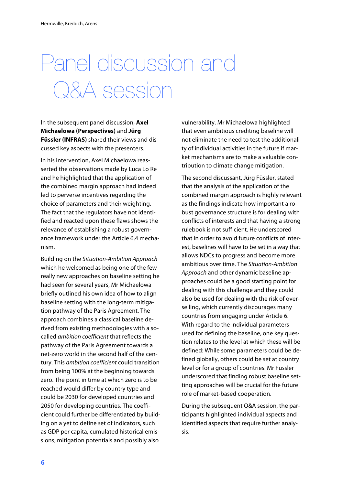# Panel discussion and Q&A session

In the subsequent panel discussion, **Axel Michaelowa (Perspectives)** and **Jürg Füssler (INFRAS)** shared their views and discussed key aspects with the presenters.

In his intervention, Axel Michaelowa reasserted the observations made by Luca Lo Re and he highlighted that the application of the combined margin approach had indeed led to perverse incentives regarding the choice of parameters and their weighting. The fact that the regulators have not identified and reacted upon these flaws shows the relevance of establishing a robust governance framework under the Article 6.4 mechanism.

Building on the Situation-Ambition Approach which he welcomed as being one of the few really new approaches on baseline setting he had seen for several years, Mr Michaelowa briefly outlined his own idea of how to align baseline setting with the long-term mitigation pathway of the Paris Agreement. The approach combines a classical baseline derived from existing methodologies with a socalled ambition coefficient that reflects the pathway of the Paris Agreement towards a net-zero world in the second half of the century. This ambition coefficient could transition from being 100% at the beginning towards zero. The point in time at which zero is to be reached would differ by country type and could be 2030 for developed countries and 2050 for developing countries. The coefficient could further be differentiated by building on a yet to define set of indicators, such as GDP per capita, cumulated historical emissions, mitigation potentials and possibly also

vulnerability. Mr Michaelowa highlighted that even ambitious crediting baseline will not eliminate the need to test the additionality of individual activities in the future if market mechanisms are to make a valuable contribution to climate change mitigation.

The second discussant, Jürg Füssler, stated that the analysis of the application of the combined margin approach is highly relevant as the findings indicate how important a robust governance structure is for dealing with conflicts of interests and that having a strong rulebook is not sufficient. He underscored that in order to avoid future conflicts of interest, baselines will have to be set in a way that allows NDCs to progress and become more ambitious over time. The Situation-Ambition Approach and other dynamic baseline approaches could be a good starting point for dealing with this challenge and they could also be used for dealing with the risk of overselling, which currently discourages many countries from engaging under Article 6. With regard to the individual parameters used for defining the baseline, one key question relates to the level at which these will be defined: While some parameters could be defined globally, others could be set at country level or for a group of countries. Mr Füssler underscored that finding robust baseline setting approaches will be crucial for the future role of market-based cooperation.

During the subsequent Q&A session, the participants highlighted individual aspects and identified aspects that require further analysis.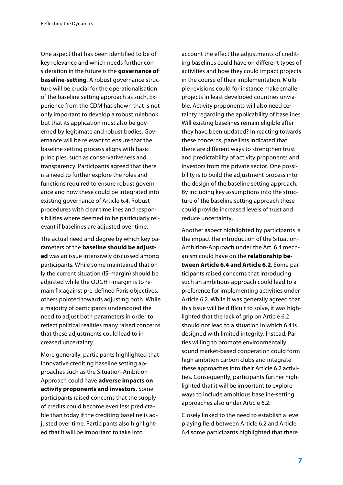One aspect that has been identified to be of key relevance and which needs further consideration in the future is the **governance of baseline-setting**. A robust governance structure will be crucial for the operationalisation of the baseline setting approach as such. Experience from the CDM has shown that is not only important to develop a robust rulebook but that its application must also be governed by legitimate and robust bodies. Governance will be relevant to ensure that the baseline setting process aligns with basic principles, such as conservativeness and transparency. Participants agreed that there is a need to further explore the roles and functions required to ensure robust governance and how these could be integrated into existing governance of Article 6.4. Robust procedures with clear timelines and responsibilities where deemed to be particularly relevant if baselines are adjusted over time.

The actual need and degree by which key parameters of the **baseline should be adjusted** was an issue intensively discussed among participants. While some maintained that only the current situation (IS-margin) should be adjusted while the OUGHT-margin is to remain fix against pre-defined Paris objectives, others pointed towards adjusting both. While a majority of participants underscored the need to adjust both parameters in order to reflect political realities many raised concerns that these adjustments could lead to increased uncertainty.

More generally, participants highlighted that innovative crediting baseline setting approaches such as the Situation-Ambition-Approach could have **adverse impacts on activity proponents and investors**. Some participants raised concerns that the supply of credits could become even less predictable than today if the crediting baseline is adjusted over time. Participants also highlighted that it will be important to take into

account the effect the adjustments of crediting baselines could have on different types of activities and how they could impact projects in the course of their implementation. Multiple revisions could for instance make smaller projects in least developed countries unviable. Activity proponents will also need certainty regarding the applicability of baselines. Will existing baselines remain eligible after they have been updated? In reacting towards these concerns, panellists indicated that there are different ways to strengthen trust and predictability of activity proponents and investors from the private sector. One possibility is to build the adjustment process into the design of the baseline setting approach. By including key assumptions into the structure of the baseline setting approach these could provide increased levels of trust and reduce uncertainty.

Another aspect highlighted by participants is the impact the introduction of the Situation-Ambition-Approach under the Art. 6.4 mechanism could have on the **relationship between Article 6.4 and Article 6.2**. Some participants raised concerns that introducing such an ambitious approach could lead to a preference for implementing activities under Article 6.2. While it was generally agreed that this issue will be difficult to solve, it was highlighted that the lack of grip on Article 6.2 should not lead to a situation in which 6.4 is designed with limited integrity. Instead, Parties willing to promote environmentally sound market-based cooperation could form high ambition carbon clubs and integrate these approaches into their Article 6.2 activities. Consequently, participants further highlighted that it will be important to explore ways to include ambitious baseline-setting approaches also under Article 6.2.

Closely linked to the need to establish a level playing field between Article 6.2 and Article 6.4 some participants highlighted that there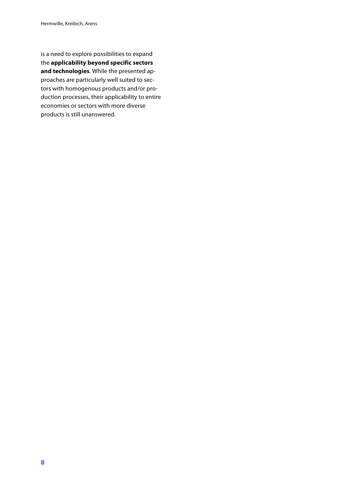is a need to explore possibilities to expand the **applicability beyond specific sectors and technologies**. While the presented approaches are particularly well suited to sectors with homogenous products and/or production processes, their applicability to entire economies or sectors with more diverse products is still unanswered.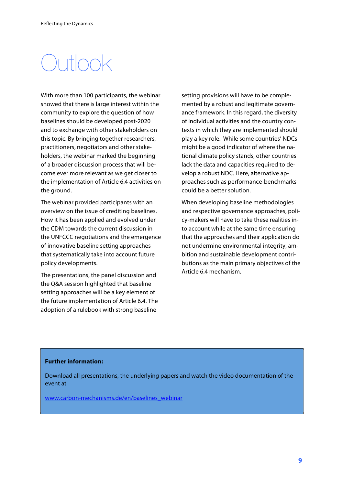## $\bigcap$ utlook

With more than 100 participants, the webinar showed that there is large interest within the community to explore the question of how baselines should be developed post-2020 and to exchange with other stakeholders on this topic. By bringing together researchers, practitioners, negotiators and other stakeholders, the webinar marked the beginning of a broader discussion process that will become ever more relevant as we get closer to the implementation of Article 6.4 activities on the ground.

The webinar provided participants with an overview on the issue of crediting baselines. How it has been applied and evolved under the CDM towards the current discussion in the UNFCCC negotiations and the emergence of innovative baseline setting approaches that systematically take into account future policy developments.

The presentations, the panel discussion and the Q&A session highlighted that baseline setting approaches will be a key element of the future implementation of Article 6.4. The adoption of a rulebook with strong baseline

setting provisions will have to be complemented by a robust and legitimate governance framework. In this regard, the diversity of individual activities and the country contexts in which they are implemented should play a key role. While some countries' NDCs might be a good indicator of where the national climate policy stands, other countries lack the data and capacities required to develop a robust NDC. Here, alternative approaches such as performance-benchmarks could be a better solution.

When developing baseline methodologies and respective governance approaches, policy-makers will have to take these realities into account while at the same time ensuring that the approaches and their application do not undermine environmental integrity, ambition and sustainable development contributions as the main primary objectives of the Article 6.4 mechanism.

#### **Further information:**

Download all presentations, the underlying papers and watch the video documentation of the event at

www.carbon-mechanisms.de/en/baselines\_webinar